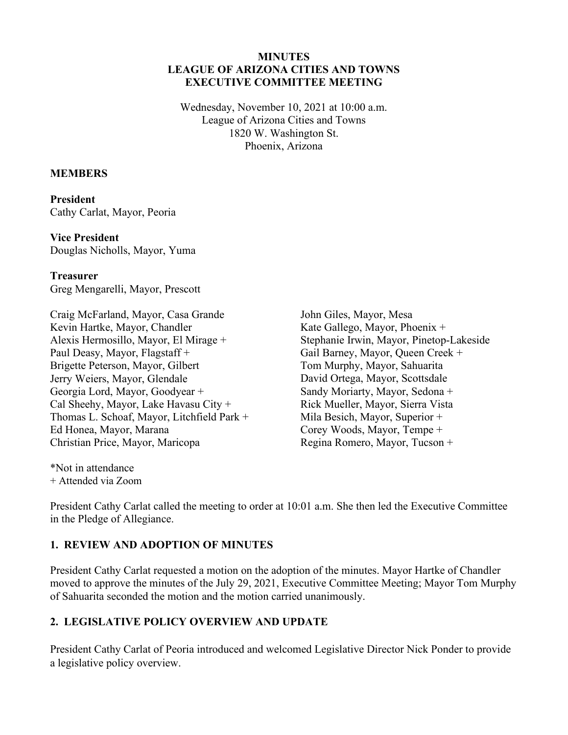#### **MINUTES LEAGUE OF ARIZONA CITIES AND TOWNS EXECUTIVE COMMITTEE MEETING**

Wednesday, November 10, 2021 at 10:00 a.m. League of Arizona Cities and Towns 1820 W. Washington St. Phoenix, Arizona

#### **MEMBERS**

**President**  Cathy Carlat, Mayor, Peoria

**Vice President**  Douglas Nicholls, Mayor, Yuma

**Treasurer**  Greg Mengarelli, Mayor, Prescott

Craig McFarland, Mayor, Casa Grande Kevin Hartke, Mayor, Chandler Alexis Hermosillo, Mayor, El Mirage + Paul Deasy, Mayor, Flagstaff + Brigette Peterson, Mayor, Gilbert Jerry Weiers, Mayor, Glendale Georgia Lord, Mayor, Goodyear + Cal Sheehy, Mayor, Lake Havasu City + Thomas L. Schoaf, Mayor, Litchfield Park + Ed Honea, Mayor, Marana Christian Price, Mayor, Maricopa

John Giles, Mayor, Mesa Kate Gallego, Mayor, Phoenix + Stephanie Irwin, Mayor, Pinetop-Lakeside Gail Barney, Mayor, Queen Creek + Tom Murphy, Mayor, Sahuarita David Ortega, Mayor, Scottsdale Sandy Moriarty, Mayor, Sedona + Rick Mueller, Mayor, Sierra Vista Mila Besich, Mayor, Superior + Corey Woods, Mayor, Tempe + Regina Romero, Mayor, Tucson +

\*Not in attendance + Attended via Zoom

President Cathy Carlat called the meeting to order at 10:01 a.m. She then led the Executive Committee in the Pledge of Allegiance.

#### **1. REVIEW AND ADOPTION OF MINUTES**

President Cathy Carlat requested a motion on the adoption of the minutes. Mayor Hartke of Chandler moved to approve the minutes of the July 29, 2021, Executive Committee Meeting; Mayor Tom Murphy of Sahuarita seconded the motion and the motion carried unanimously.

#### **2. LEGISLATIVE POLICY OVERVIEW AND UPDATE**

President Cathy Carlat of Peoria introduced and welcomed Legislative Director Nick Ponder to provide a legislative policy overview.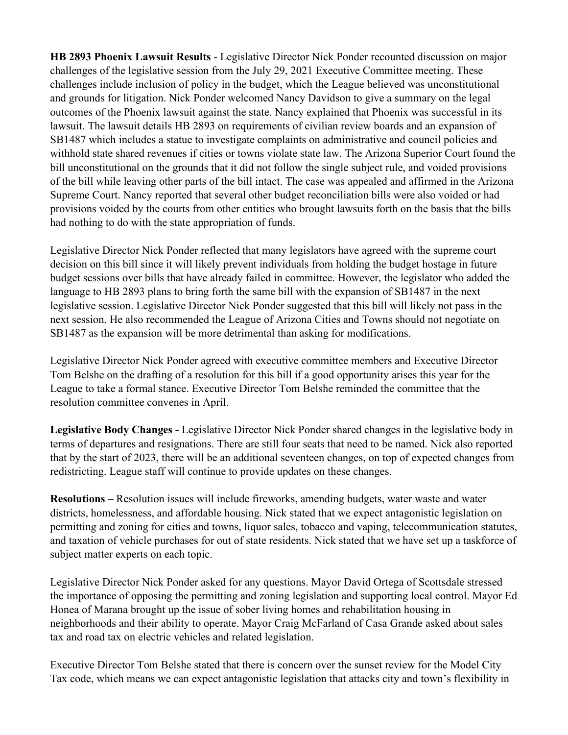**HB 2893 Phoenix Lawsuit Results** - Legislative Director Nick Ponder recounted discussion on major challenges of the legislative session from the July 29, 2021 Executive Committee meeting. These challenges include inclusion of policy in the budget, which the League believed was unconstitutional and grounds for litigation. Nick Ponder welcomed Nancy Davidson to give a summary on the legal outcomes of the Phoenix lawsuit against the state. Nancy explained that Phoenix was successful in its lawsuit. The lawsuit details HB 2893 on requirements of civilian review boards and an expansion of SB1487 which includes a statue to investigate complaints on administrative and council policies and withhold state shared revenues if cities or towns violate state law. The Arizona Superior Court found the bill unconstitutional on the grounds that it did not follow the single subject rule, and voided provisions of the bill while leaving other parts of the bill intact. The case was appealed and affirmed in the Arizona Supreme Court. Nancy reported that several other budget reconciliation bills were also voided or had provisions voided by the courts from other entities who brought lawsuits forth on the basis that the bills had nothing to do with the state appropriation of funds.

Legislative Director Nick Ponder reflected that many legislators have agreed with the supreme court decision on this bill since it will likely prevent individuals from holding the budget hostage in future budget sessions over bills that have already failed in committee. However, the legislator who added the language to HB 2893 plans to bring forth the same bill with the expansion of SB1487 in the next legislative session. Legislative Director Nick Ponder suggested that this bill will likely not pass in the next session. He also recommended the League of Arizona Cities and Towns should not negotiate on SB1487 as the expansion will be more detrimental than asking for modifications.

Legislative Director Nick Ponder agreed with executive committee members and Executive Director Tom Belshe on the drafting of a resolution for this bill if a good opportunity arises this year for the League to take a formal stance. Executive Director Tom Belshe reminded the committee that the resolution committee convenes in April.

**Legislative Body Changes -** Legislative Director Nick Ponder shared changes in the legislative body in terms of departures and resignations. There are still four seats that need to be named. Nick also reported that by the start of 2023, there will be an additional seventeen changes, on top of expected changes from redistricting. League staff will continue to provide updates on these changes.

**Resolutions –** Resolution issues will include fireworks, amending budgets, water waste and water districts, homelessness, and affordable housing. Nick stated that we expect antagonistic legislation on permitting and zoning for cities and towns, liquor sales, tobacco and vaping, telecommunication statutes, and taxation of vehicle purchases for out of state residents. Nick stated that we have set up a taskforce of subject matter experts on each topic.

Legislative Director Nick Ponder asked for any questions. Mayor David Ortega of Scottsdale stressed the importance of opposing the permitting and zoning legislation and supporting local control. Mayor Ed Honea of Marana brought up the issue of sober living homes and rehabilitation housing in neighborhoods and their ability to operate. Mayor Craig McFarland of Casa Grande asked about sales tax and road tax on electric vehicles and related legislation.

Executive Director Tom Belshe stated that there is concern over the sunset review for the Model City Tax code, which means we can expect antagonistic legislation that attacks city and town's flexibility in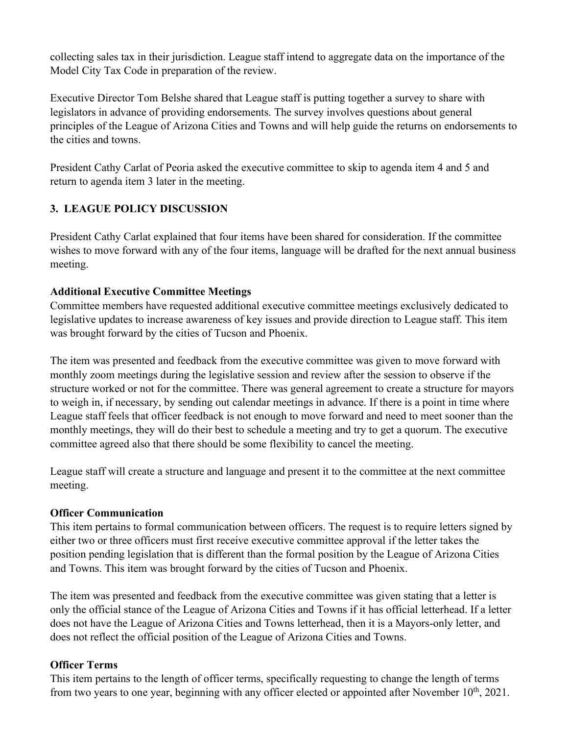collecting sales tax in their jurisdiction. League staff intend to aggregate data on the importance of the Model City Tax Code in preparation of the review.

Executive Director Tom Belshe shared that League staff is putting together a survey to share with legislators in advance of providing endorsements. The survey involves questions about general principles of the League of Arizona Cities and Towns and will help guide the returns on endorsements to the cities and towns.

President Cathy Carlat of Peoria asked the executive committee to skip to agenda item 4 and 5 and return to agenda item 3 later in the meeting.

# **3. LEAGUE POLICY DISCUSSION**

President Cathy Carlat explained that four items have been shared for consideration. If the committee wishes to move forward with any of the four items, language will be drafted for the next annual business meeting.

#### **Additional Executive Committee Meetings**

Committee members have requested additional executive committee meetings exclusively dedicated to legislative updates to increase awareness of key issues and provide direction to League staff. This item was brought forward by the cities of Tucson and Phoenix.

The item was presented and feedback from the executive committee was given to move forward with monthly zoom meetings during the legislative session and review after the session to observe if the structure worked or not for the committee. There was general agreement to create a structure for mayors to weigh in, if necessary, by sending out calendar meetings in advance. If there is a point in time where League staff feels that officer feedback is not enough to move forward and need to meet sooner than the monthly meetings, they will do their best to schedule a meeting and try to get a quorum. The executive committee agreed also that there should be some flexibility to cancel the meeting.

League staff will create a structure and language and present it to the committee at the next committee meeting.

## **Officer Communication**

This item pertains to formal communication between officers. The request is to require letters signed by either two or three officers must first receive executive committee approval if the letter takes the position pending legislation that is different than the formal position by the League of Arizona Cities and Towns. This item was brought forward by the cities of Tucson and Phoenix.

The item was presented and feedback from the executive committee was given stating that a letter is only the official stance of the League of Arizona Cities and Towns if it has official letterhead. If a letter does not have the League of Arizona Cities and Towns letterhead, then it is a Mayors-only letter, and does not reflect the official position of the League of Arizona Cities and Towns.

## **Officer Terms**

This item pertains to the length of officer terms, specifically requesting to change the length of terms from two years to one year, beginning with any officer elected or appointed after November  $10<sup>th</sup>$ , 2021.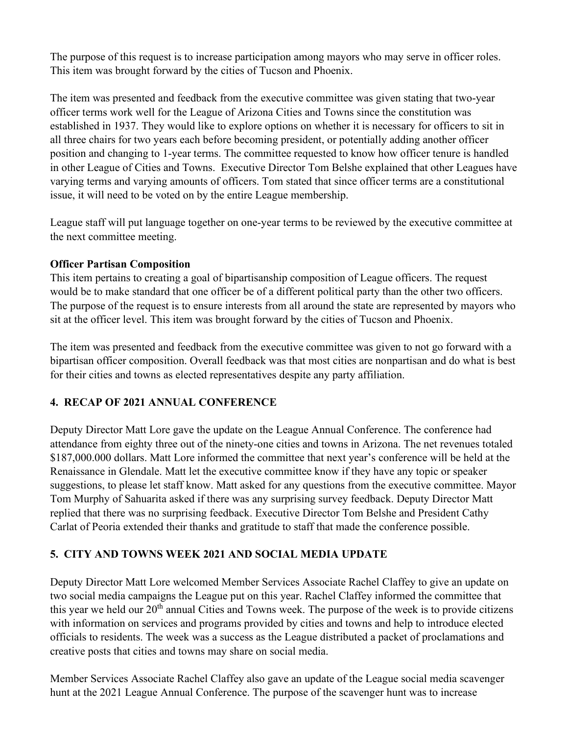The purpose of this request is to increase participation among mayors who may serve in officer roles. This item was brought forward by the cities of Tucson and Phoenix.

The item was presented and feedback from the executive committee was given stating that two-year officer terms work well for the League of Arizona Cities and Towns since the constitution was established in 1937. They would like to explore options on whether it is necessary for officers to sit in all three chairs for two years each before becoming president, or potentially adding another officer position and changing to 1-year terms. The committee requested to know how officer tenure is handled in other League of Cities and Towns. Executive Director Tom Belshe explained that other Leagues have varying terms and varying amounts of officers. Tom stated that since officer terms are a constitutional issue, it will need to be voted on by the entire League membership.

League staff will put language together on one-year terms to be reviewed by the executive committee at the next committee meeting.

#### **Officer Partisan Composition**

This item pertains to creating a goal of bipartisanship composition of League officers. The request would be to make standard that one officer be of a different political party than the other two officers. The purpose of the request is to ensure interests from all around the state are represented by mayors who sit at the officer level. This item was brought forward by the cities of Tucson and Phoenix.

The item was presented and feedback from the executive committee was given to not go forward with a bipartisan officer composition. Overall feedback was that most cities are nonpartisan and do what is best for their cities and towns as elected representatives despite any party affiliation.

## **4. RECAP OF 2021 ANNUAL CONFERENCE**

Deputy Director Matt Lore gave the update on the League Annual Conference. The conference had attendance from eighty three out of the ninety-one cities and towns in Arizona. The net revenues totaled \$187,000.000 dollars. Matt Lore informed the committee that next year's conference will be held at the Renaissance in Glendale. Matt let the executive committee know if they have any topic or speaker suggestions, to please let staff know. Matt asked for any questions from the executive committee. Mayor Tom Murphy of Sahuarita asked if there was any surprising survey feedback. Deputy Director Matt replied that there was no surprising feedback. Executive Director Tom Belshe and President Cathy Carlat of Peoria extended their thanks and gratitude to staff that made the conference possible.

## **5. CITY AND TOWNS WEEK 2021 AND SOCIAL MEDIA UPDATE**

Deputy Director Matt Lore welcomed Member Services Associate Rachel Claffey to give an update on two social media campaigns the League put on this year. Rachel Claffey informed the committee that this year we held our  $20<sup>th</sup>$  annual Cities and Towns week. The purpose of the week is to provide citizens with information on services and programs provided by cities and towns and help to introduce elected officials to residents. The week was a success as the League distributed a packet of proclamations and creative posts that cities and towns may share on social media.

Member Services Associate Rachel Claffey also gave an update of the League social media scavenger hunt at the 2021 League Annual Conference. The purpose of the scavenger hunt was to increase